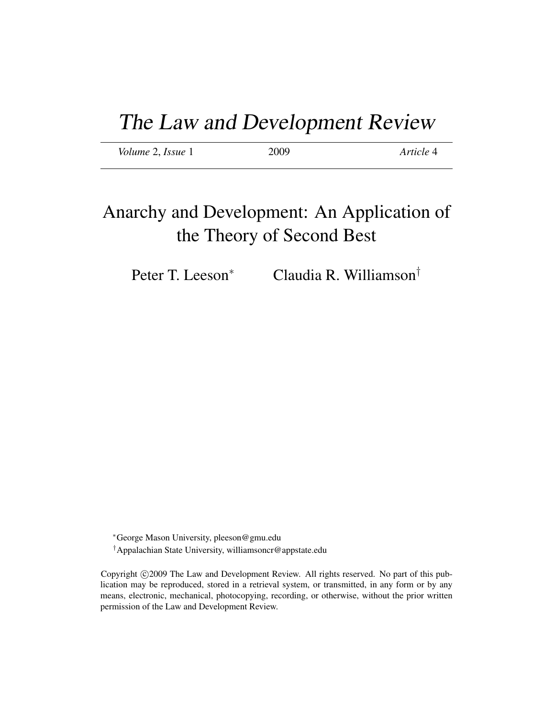| Volume 2, Issue 1 | 2009 | Article 4 |
|-------------------|------|-----------|
|-------------------|------|-----------|

# Anarchy and Development: An Application of the Theory of Second Best

Peter T. Leeson<sup>∗</sup> Claudia R. Williamson<sup>†</sup>

<sup>∗</sup>George Mason University, pleeson@gmu.edu

Copyright C 2009 The Law and Development Review. All rights reserved. No part of this publication may be reproduced, stored in a retrieval system, or transmitted, in any form or by any means, electronic, mechanical, photocopying, recording, or otherwise, without the prior written permission of the Law and Development Review.

<sup>†</sup>Appalachian State University, williamsoncr@appstate.edu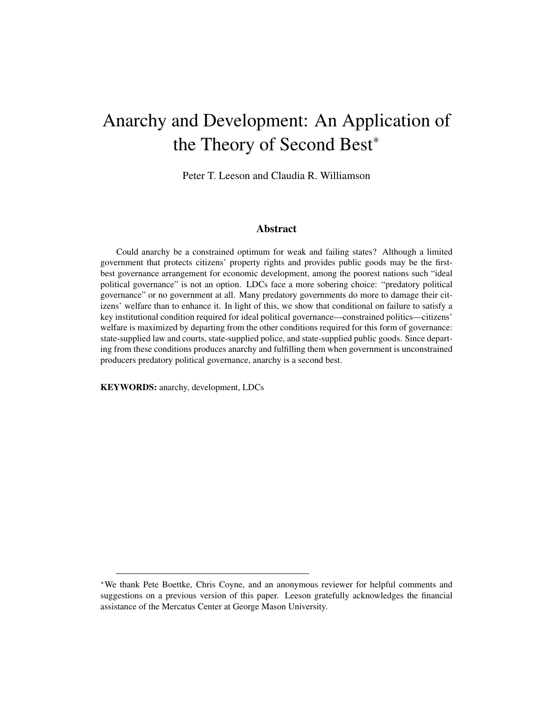# Anarchy and Development: An Application of the Theory of Second Best<sup>∗</sup>

Peter T. Leeson and Claudia R. Williamson

#### Abstract

Could anarchy be a constrained optimum for weak and failing states? Although a limited government that protects citizens' property rights and provides public goods may be the firstbest governance arrangement for economic development, among the poorest nations such "ideal political governance" is not an option. LDCs face a more sobering choice: "predatory political governance" or no government at all. Many predatory governments do more to damage their citizens' welfare than to enhance it. In light of this, we show that conditional on failure to satisfy a key institutional condition required for ideal political governance—constrained politics—citizens' welfare is maximized by departing from the other conditions required for this form of governance: state-supplied law and courts, state-supplied police, and state-supplied public goods. Since departing from these conditions produces anarchy and fulfilling them when government is unconstrained producers predatory political governance, anarchy is a second best.

KEYWORDS: anarchy, development, LDCs

<sup>∗</sup>We thank Pete Boettke, Chris Coyne, and an anonymous reviewer for helpful comments and suggestions on a previous version of this paper. Leeson gratefully acknowledges the financial assistance of the Mercatus Center at George Mason University.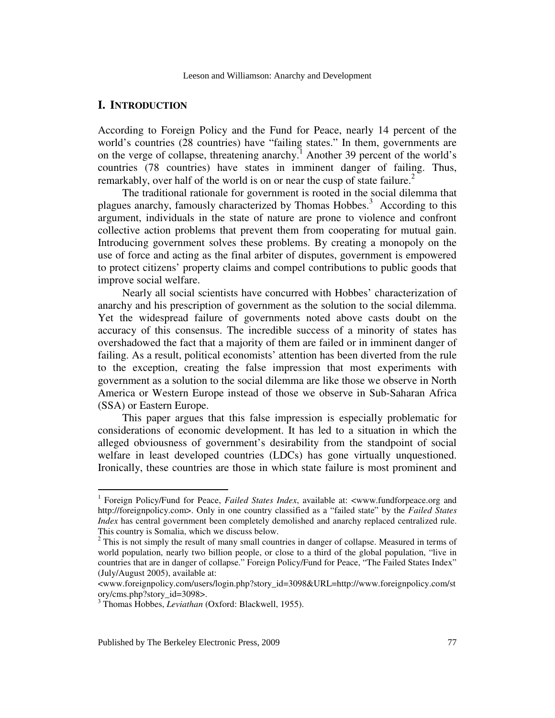## **I. INTRODUCTION**

According to Foreign Policy and the Fund for Peace, nearly 14 percent of the world's countries (28 countries) have "failing states." In them, governments are on the verge of collapse, threatening anarchy.<sup>1</sup> Another 39 percent of the world's countries (78 countries) have states in imminent danger of failing. Thus, remarkably, over half of the world is on or near the cusp of state failure.<sup>2</sup>

The traditional rationale for government is rooted in the social dilemma that plagues anarchy, famously characterized by Thomas Hobbes.<sup>3</sup> According to this argument, individuals in the state of nature are prone to violence and confront collective action problems that prevent them from cooperating for mutual gain. Introducing government solves these problems. By creating a monopoly on the use of force and acting as the final arbiter of disputes, government is empowered to protect citizens' property claims and compel contributions to public goods that improve social welfare.

Nearly all social scientists have concurred with Hobbes' characterization of anarchy and his prescription of government as the solution to the social dilemma. Yet the widespread failure of governments noted above casts doubt on the accuracy of this consensus. The incredible success of a minority of states has overshadowed the fact that a majority of them are failed or in imminent danger of failing. As a result, political economists' attention has been diverted from the rule to the exception, creating the false impression that most experiments with government as a solution to the social dilemma are like those we observe in North America or Western Europe instead of those we observe in Sub-Saharan Africa (SSA) or Eastern Europe.

This paper argues that this false impression is especially problematic for considerations of economic development. It has led to a situation in which the alleged obviousness of government's desirability from the standpoint of social welfare in least developed countries (LDCs) has gone virtually unquestioned. Ironically, these countries are those in which state failure is most prominent and

<sup>&</sup>lt;sup>1</sup> Foreign Policy/Fund for Peace, *Failed States Index*, available at: <www.fundforpeace.org and http://foreignpolicy.com>. Only in one country classified as a "failed state" by the *Failed States Index* has central government been completely demolished and anarchy replaced centralized rule. This country is Somalia, which we discuss below.

 $2<sup>2</sup>$  This is not simply the result of many small countries in danger of collapse. Measured in terms of world population, nearly two billion people, or close to a third of the global population, "live in countries that are in danger of collapse." Foreign Policy/Fund for Peace, "The Failed States Index" (July/August 2005), available at:

<sup>&</sup>lt;www.foreignpolicy.com/users/login.php?story\_id=3098&URL=http://www.foreignpolicy.com/st ory/cms.php?story\_id=3098>.

<sup>3</sup> Thomas Hobbes, *Leviathan* (Oxford: Blackwell, 1955).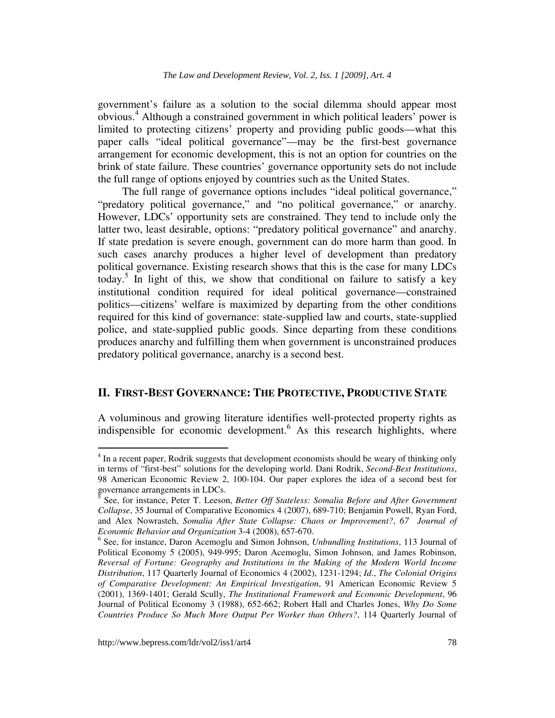government's failure as a solution to the social dilemma should appear most obvious.<sup>4</sup> Although a constrained government in which political leaders' power is limited to protecting citizens' property and providing public goods—what this paper calls "ideal political governance"—may be the first-best governance arrangement for economic development, this is not an option for countries on the brink of state failure. These countries' governance opportunity sets do not include the full range of options enjoyed by countries such as the United States.

The full range of governance options includes "ideal political governance," "predatory political governance," and "no political governance," or anarchy. However, LDCs' opportunity sets are constrained. They tend to include only the latter two, least desirable, options: "predatory political governance" and anarchy. If state predation is severe enough, government can do more harm than good. In such cases anarchy produces a higher level of development than predatory political governance. Existing research shows that this is the case for many LDCs today.<sup>5</sup> In light of this, we show that conditional on failure to satisfy a key institutional condition required for ideal political governance—constrained politics—citizens' welfare is maximized by departing from the other conditions required for this kind of governance: state-supplied law and courts, state-supplied police, and state-supplied public goods. Since departing from these conditions produces anarchy and fulfilling them when government is unconstrained produces predatory political governance, anarchy is a second best.

### **II. FIRST-BEST GOVERNANCE: THE PROTECTIVE, PRODUCTIVE STATE**

A voluminous and growing literature identifies well-protected property rights as indispensible for economic development.<sup>6</sup> As this research highlights, where

<sup>&</sup>lt;sup>4</sup> In a recent paper, Rodrik suggests that development economists should be weary of thinking only in terms of "first-best" solutions for the developing world. Dani Rodrik, *Second-Best Institutions*, 98 American Economic Review 2, 100-104. Our paper explores the idea of a second best for governance arrangements in LDCs.

<sup>5</sup> See, for instance, Peter T. Leeson, *Better Off Stateless: Somalia Before and After Government Collapse*, 35 Journal of Comparative Economics 4 (2007), 689-710; Benjamin Powell, Ryan Ford, and Alex Nowrasteh, *Somalia After State Collapse: Chaos or Improvement?*, *67 Journal of Economic Behavior and Organization* 3-4 (2008), 657-670.

<sup>6</sup> See, for instance, Daron Acemoglu and Simon Johnson, *Unbundling Institutions*, 113 Journal of Political Economy 5 (2005), 949-995; Daron Acemoglu, Simon Johnson, and James Robinson, *Reversal of Fortune: Geography and Institutions in the Making of the Modern World Income Distribution*, 117 Quarterly Journal of Economics 4 (2002), 1231-1294; *Id*., *The Colonial Origins of Comparative Development: An Empirical Investigation*, 91 American Economic Review 5 (2001), 1369-1401; Gerald Scully, *The Institutional Framework and Economic Development*, 96 Journal of Political Economy 3 (1988), 652-662; Robert Hall and Charles Jones, *Why Do Some Countries Produce So Much More Output Per Worker than Others?*, 114 Quarterly Journal of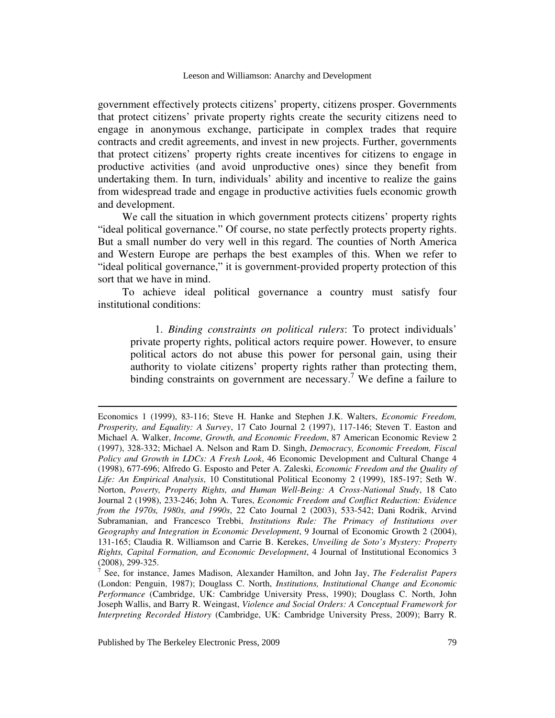government effectively protects citizens' property, citizens prosper. Governments that protect citizens' private property rights create the security citizens need to engage in anonymous exchange, participate in complex trades that require contracts and credit agreements, and invest in new projects. Further, governments that protect citizens' property rights create incentives for citizens to engage in productive activities (and avoid unproductive ones) since they benefit from undertaking them. In turn, individuals' ability and incentive to realize the gains from widespread trade and engage in productive activities fuels economic growth and development.

We call the situation in which government protects citizens' property rights "ideal political governance." Of course, no state perfectly protects property rights. But a small number do very well in this regard. The counties of North America and Western Europe are perhaps the best examples of this. When we refer to "ideal political governance," it is government-provided property protection of this sort that we have in mind.

To achieve ideal political governance a country must satisfy four institutional conditions:

1. *Binding constraints on political rulers*: To protect individuals' private property rights, political actors require power. However, to ensure political actors do not abuse this power for personal gain, using their authority to violate citizens' property rights rather than protecting them, binding constraints on government are necessary.<sup>7</sup> We define a failure to

-

Economics 1 (1999), 83-116; Steve H. Hanke and Stephen J.K. Walters, *Economic Freedom, Prosperity, and Equality: A Survey*, 17 Cato Journal 2 (1997), 117-146; Steven T. Easton and Michael A. Walker, *Income, Growth, and Economic Freedom*, 87 American Economic Review 2 (1997), 328-332; Michael A. Nelson and Ram D. Singh, *Democracy, Economic Freedom, Fiscal Policy and Growth in LDCs: A Fresh Look*, 46 Economic Development and Cultural Change 4 (1998), 677-696; Alfredo G. Esposto and Peter A. Zaleski, *Economic Freedom and the Quality of Life: An Empirical Analysis*, 10 Constitutional Political Economy 2 (1999), 185-197; Seth W. Norton, *Poverty, Property Rights, and Human Well-Being: A Cross-National Study*, 18 Cato Journal 2 (1998), 233-246; John A. Tures, *Economic Freedom and Conflict Reduction: Evidence from the 1970s, 1980s, and 1990s*, 22 Cato Journal 2 (2003), 533-542; Dani Rodrik, Arvind Subramanian, and Francesco Trebbi, *Institutions Rule: The Primacy of Institutions over Geography and Integration in Economic Development*, 9 Journal of Economic Growth 2 (2004), 131-165; Claudia R. Williamson and Carrie B. Kerekes, *Unveiling de Soto's Mystery: Property Rights, Capital Formation, and Economic Development*, 4 Journal of Institutional Economics 3 (2008), 299-325.

<sup>7</sup> See, for instance, James Madison, Alexander Hamilton, and John Jay, *The Federalist Papers* (London: Penguin, 1987); Douglass C. North, *Institutions, Institutional Change and Economic Performance* (Cambridge, UK: Cambridge University Press, 1990); Douglass C. North, John Joseph Wallis, and Barry R. Weingast, *Violence and Social Orders: A Conceptual Framework for Interpreting Recorded History* (Cambridge, UK: Cambridge University Press, 2009); Barry R.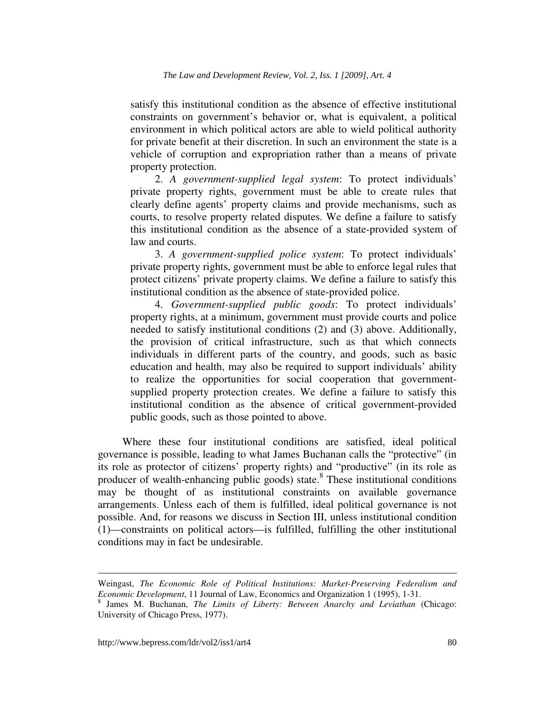satisfy this institutional condition as the absence of effective institutional constraints on government's behavior or, what is equivalent, a political environment in which political actors are able to wield political authority for private benefit at their discretion. In such an environment the state is a vehicle of corruption and expropriation rather than a means of private property protection.

2. *A government-supplied legal system*: To protect individuals' private property rights, government must be able to create rules that clearly define agents' property claims and provide mechanisms, such as courts, to resolve property related disputes. We define a failure to satisfy this institutional condition as the absence of a state-provided system of law and courts.

3. *A government-supplied police system*: To protect individuals' private property rights, government must be able to enforce legal rules that protect citizens' private property claims. We define a failure to satisfy this institutional condition as the absence of state-provided police.

4. *Government-supplied public goods*: To protect individuals' property rights, at a minimum, government must provide courts and police needed to satisfy institutional conditions (2) and (3) above. Additionally, the provision of critical infrastructure, such as that which connects individuals in different parts of the country, and goods, such as basic education and health, may also be required to support individuals' ability to realize the opportunities for social cooperation that governmentsupplied property protection creates. We define a failure to satisfy this institutional condition as the absence of critical government-provided public goods, such as those pointed to above.

Where these four institutional conditions are satisfied, ideal political governance is possible, leading to what James Buchanan calls the "protective" (in its role as protector of citizens' property rights) and "productive" (in its role as producer of wealth-enhancing public goods) state.<sup>8</sup> These institutional conditions may be thought of as institutional constraints on available governance arrangements. Unless each of them is fulfilled, ideal political governance is not possible. And, for reasons we discuss in Section III, unless institutional condition (1)—constraints on political actors—is fulfilled, fulfilling the other institutional conditions may in fact be undesirable.

Weingast, *The Economic Role of Political Institutions: Market-Preserving Federalism and Economic Development*, 11 Journal of Law, Economics and Organization 1 (1995), 1-31.

<sup>8</sup> James M. Buchanan, *The Limits of Liberty: Between Anarchy and Leviathan* (Chicago: University of Chicago Press, 1977).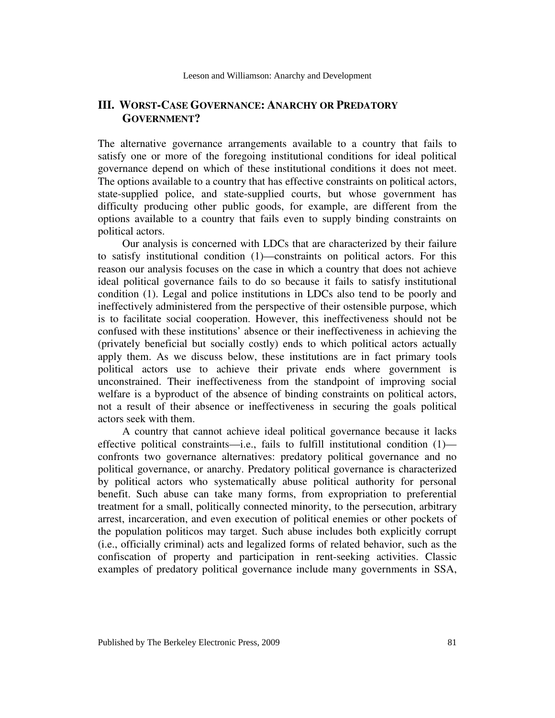# **III. WORST-CASE GOVERNANCE: ANARCHY OR PREDATORY GOVERNMENT?**

The alternative governance arrangements available to a country that fails to satisfy one or more of the foregoing institutional conditions for ideal political governance depend on which of these institutional conditions it does not meet. The options available to a country that has effective constraints on political actors, state-supplied police, and state-supplied courts, but whose government has difficulty producing other public goods, for example, are different from the options available to a country that fails even to supply binding constraints on political actors.

Our analysis is concerned with LDCs that are characterized by their failure to satisfy institutional condition (1)—constraints on political actors. For this reason our analysis focuses on the case in which a country that does not achieve ideal political governance fails to do so because it fails to satisfy institutional condition (1). Legal and police institutions in LDCs also tend to be poorly and ineffectively administered from the perspective of their ostensible purpose, which is to facilitate social cooperation. However, this ineffectiveness should not be confused with these institutions' absence or their ineffectiveness in achieving the (privately beneficial but socially costly) ends to which political actors actually apply them. As we discuss below, these institutions are in fact primary tools political actors use to achieve their private ends where government is unconstrained. Their ineffectiveness from the standpoint of improving social welfare is a byproduct of the absence of binding constraints on political actors, not a result of their absence or ineffectiveness in securing the goals political actors seek with them.

A country that cannot achieve ideal political governance because it lacks effective political constraints—i.e., fails to fulfill institutional condition (1) confronts two governance alternatives: predatory political governance and no political governance, or anarchy. Predatory political governance is characterized by political actors who systematically abuse political authority for personal benefit. Such abuse can take many forms, from expropriation to preferential treatment for a small, politically connected minority, to the persecution, arbitrary arrest, incarceration, and even execution of political enemies or other pockets of the population politicos may target. Such abuse includes both explicitly corrupt (i.e., officially criminal) acts and legalized forms of related behavior, such as the confiscation of property and participation in rent-seeking activities. Classic examples of predatory political governance include many governments in SSA,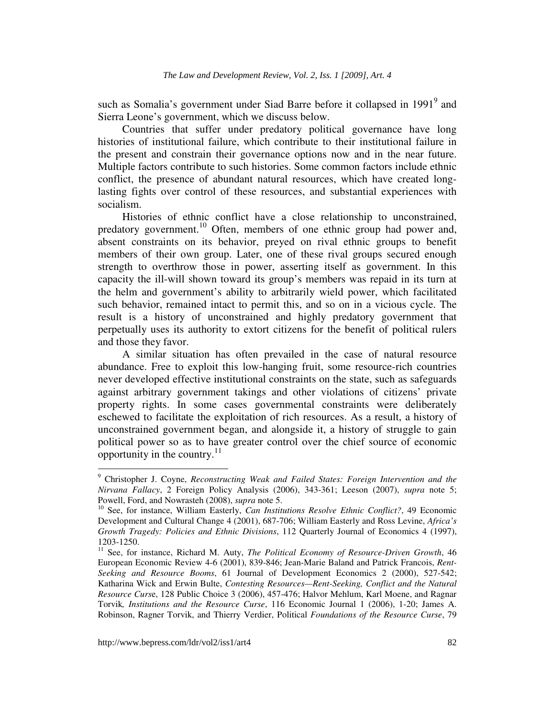such as Somalia's government under Siad Barre before it collapsed in  $1991<sup>9</sup>$  and Sierra Leone's government, which we discuss below.

Countries that suffer under predatory political governance have long histories of institutional failure, which contribute to their institutional failure in the present and constrain their governance options now and in the near future. Multiple factors contribute to such histories. Some common factors include ethnic conflict, the presence of abundant natural resources, which have created longlasting fights over control of these resources, and substantial experiences with socialism.

Histories of ethnic conflict have a close relationship to unconstrained, predatory government.<sup>10</sup> Often, members of one ethnic group had power and, absent constraints on its behavior, preyed on rival ethnic groups to benefit members of their own group. Later, one of these rival groups secured enough strength to overthrow those in power, asserting itself as government. In this capacity the ill-will shown toward its group's members was repaid in its turn at the helm and government's ability to arbitrarily wield power, which facilitated such behavior, remained intact to permit this, and so on in a vicious cycle. The result is a history of unconstrained and highly predatory government that perpetually uses its authority to extort citizens for the benefit of political rulers and those they favor.

A similar situation has often prevailed in the case of natural resource abundance. Free to exploit this low-hanging fruit, some resource-rich countries never developed effective institutional constraints on the state, such as safeguards against arbitrary government takings and other violations of citizens' private property rights. In some cases governmental constraints were deliberately eschewed to facilitate the exploitation of rich resources. As a result, a history of unconstrained government began, and alongside it, a history of struggle to gain political power so as to have greater control over the chief source of economic opportunity in the country. $11$ 

<sup>9</sup> Christopher J. Coyne, *Reconstructing Weak and Failed States: Foreign Intervention and the Nirvana Fallacy*, 2 Foreign Policy Analysis (2006), 343-361; Leeson (2007), *supra* note 5; Powell, Ford, and Nowrasteh (2008), *supra* note 5.

<sup>&</sup>lt;sup>10</sup> See, for instance, William Easterly, *Can Institutions Resolve Ethnic Conflict?*, 49 Economic Development and Cultural Change 4 (2001), 687-706; William Easterly and Ross Levine, *Africa's Growth Tragedy: Policies and Ethnic Divisions*, 112 Quarterly Journal of Economics 4 (1997), 1203-1250.

<sup>&</sup>lt;sup>11</sup> See, for instance, Richard M. Auty, *The Political Economy of Resource-Driven Growth*, 46 European Economic Review 4-6 (2001), 839-846; Jean-Marie Baland and Patrick Francois, *Rent-Seeking and Resource Booms*, 61 Journal of Development Economics 2 (2000), 527-542; Katharina Wick and Erwin Bulte, *Contesting Resources—Rent-Seeking, Conflict and the Natural Resource Curs*e, 128 Public Choice 3 (2006), 457-476; Halvor Mehlum, Karl Moene, and Ragnar Torvik*, Institutions and the Resource Curse*, 116 Economic Journal 1 (2006), 1-20; James A. Robinson, Ragner Torvik, and Thierry Verdier, Political *Foundations of the Resource Curse*, 79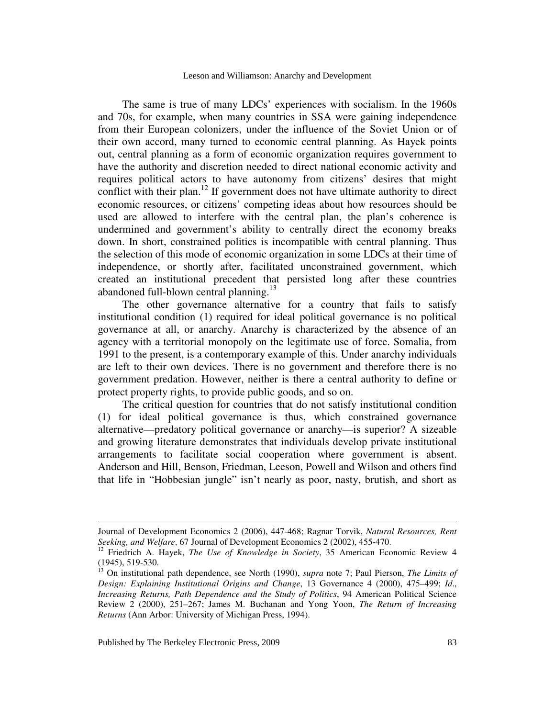The same is true of many LDCs' experiences with socialism. In the 1960s and 70s, for example, when many countries in SSA were gaining independence from their European colonizers, under the influence of the Soviet Union or of their own accord, many turned to economic central planning. As Hayek points out, central planning as a form of economic organization requires government to have the authority and discretion needed to direct national economic activity and requires political actors to have autonomy from citizens' desires that might conflict with their plan.<sup>12</sup> If government does not have ultimate authority to direct economic resources, or citizens' competing ideas about how resources should be used are allowed to interfere with the central plan, the plan's coherence is undermined and government's ability to centrally direct the economy breaks down. In short, constrained politics is incompatible with central planning. Thus the selection of this mode of economic organization in some LDCs at their time of independence, or shortly after, facilitated unconstrained government, which created an institutional precedent that persisted long after these countries abandoned full-blown central planning.<sup>13</sup>

The other governance alternative for a country that fails to satisfy institutional condition (1) required for ideal political governance is no political governance at all, or anarchy. Anarchy is characterized by the absence of an agency with a territorial monopoly on the legitimate use of force. Somalia, from 1991 to the present, is a contemporary example of this. Under anarchy individuals are left to their own devices. There is no government and therefore there is no government predation. However, neither is there a central authority to define or protect property rights, to provide public goods, and so on.

The critical question for countries that do not satisfy institutional condition (1) for ideal political governance is thus, which constrained governance alternative—predatory political governance or anarchy—is superior? A sizeable and growing literature demonstrates that individuals develop private institutional arrangements to facilitate social cooperation where government is absent. Anderson and Hill, Benson, Friedman, Leeson, Powell and Wilson and others find that life in "Hobbesian jungle" isn't nearly as poor, nasty, brutish, and short as

Journal of Development Economics 2 (2006), 447-468; Ragnar Torvik, *Natural Resources, Rent Seeking, and Welfare*, 67 Journal of Development Economics 2 (2002), 455-470.

<sup>&</sup>lt;sup>12</sup> Friedrich A. Hayek, *The Use of Knowledge in Society*, 35 American Economic Review 4 (1945), 519-530.

<sup>13</sup> On institutional path dependence, see North (1990), *supra* note 7; Paul Pierson, *The Limits of Design: Explaining Institutional Origins and Change*, 13 Governance 4 (2000), 475–499; *Id*., *Increasing Returns, Path Dependence and the Study of Politics*, 94 American Political Science Review 2 (2000), 251–267; James M. Buchanan and Yong Yoon, *The Return of Increasing Returns* (Ann Arbor: University of Michigan Press, 1994).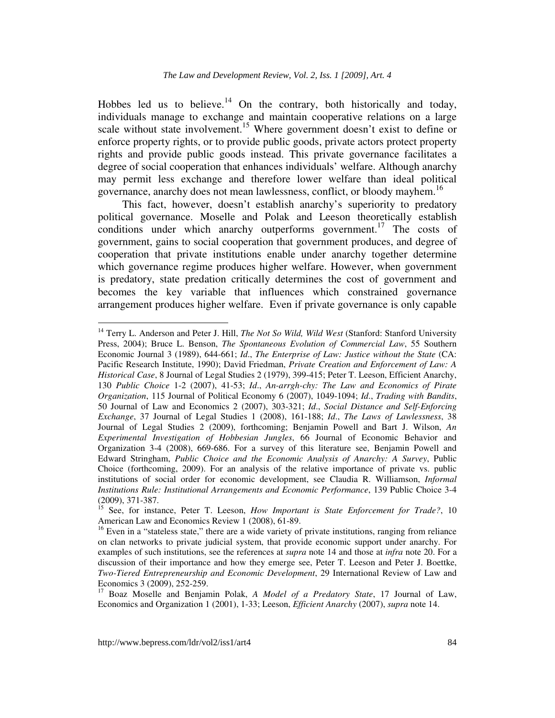Hobbes led us to believe.<sup>14</sup> On the contrary, both historically and today, individuals manage to exchange and maintain cooperative relations on a large scale without state involvement.<sup>15</sup> Where government doesn't exist to define or enforce property rights, or to provide public goods, private actors protect property rights and provide public goods instead. This private governance facilitates a degree of social cooperation that enhances individuals' welfare. Although anarchy may permit less exchange and therefore lower welfare than ideal political governance, anarchy does not mean lawlessness, conflict, or bloody mayhem.<sup>16</sup>

This fact, however, doesn't establish anarchy's superiority to predatory political governance. Moselle and Polak and Leeson theoretically establish conditions under which anarchy outperforms government.<sup>17</sup> The costs of government, gains to social cooperation that government produces, and degree of cooperation that private institutions enable under anarchy together determine which governance regime produces higher welfare. However, when government is predatory, state predation critically determines the cost of government and becomes the key variable that influences which constrained governance arrangement produces higher welfare. Even if private governance is only capable

<u>.</u>

<sup>&</sup>lt;sup>14</sup> Terry L. Anderson and Peter J. Hill, *The Not So Wild, Wild West* (Stanford: Stanford University Press, 2004); Bruce L. Benson, *The Spontaneous Evolution of Commercial Law*, 55 Southern Economic Journal 3 (1989), 644-661; *Id*., *The Enterprise of Law: Justice without the State* (CA: Pacific Research Institute, 1990); David Friedman, *Private Creation and Enforcement of Law: A Historical Case*, 8 Journal of Legal Studies 2 (1979), 399-415; Peter T. Leeson, Efficient Anarchy, 130 *Public Choice* 1-2 (2007), 41-53; *Id*., *An-arrgh-chy: The Law and Economics of Pirate Organization*, 115 Journal of Political Economy 6 (2007), 1049-1094; *Id*., *Trading with Bandits*, 50 Journal of Law and Economics 2 (2007), 303-321; *Id*., *Social Distance and Self-Enforcing Exchange*, 37 Journal of Legal Studies 1 (2008), 161-188; *Id*., *The Laws of Lawlessness*, 38 Journal of Legal Studies 2 (2009), forthcoming; Benjamin Powell and Bart J. Wilson, *An Experimental Investigation of Hobbesian Jungles*, 66 Journal of Economic Behavior and Organization 3-4 (2008), 669-686. For a survey of this literature see, Benjamin Powell and Edward Stringham, *Public Choice and the Economic Analysis of Anarchy: A Survey*, Public Choice (forthcoming, 2009). For an analysis of the relative importance of private vs. public institutions of social order for economic development, see Claudia R. Williamson, *Informal Institutions Rule: Institutional Arrangements and Economic Performance*, 139 Public Choice 3-4 (2009), 371-387.

<sup>&</sup>lt;sup>15</sup> See, for instance, Peter T. Leeson, *How Important is State Enforcement for Trade?*, 10 American Law and Economics Review 1 (2008), 61-89.

<sup>&</sup>lt;sup>16</sup> Even in a "stateless state," there are a wide variety of private institutions, ranging from reliance on clan networks to private judicial system, that provide economic support under anarchy. For examples of such institutions, see the references at *supra* note 14 and those at *infra* note 20. For a discussion of their importance and how they emerge see, Peter T. Leeson and Peter J. Boettke, *Two-Tiered Entrepreneurship and Economic Development*, 29 International Review of Law and Economics 3 (2009), 252-259.

<sup>17</sup> Boaz Moselle and Benjamin Polak, *A Model of a Predatory State*, 17 Journal of Law, Economics and Organization 1 (2001), 1-33; Leeson, *Efficient Anarchy* (2007), *supra* note 14.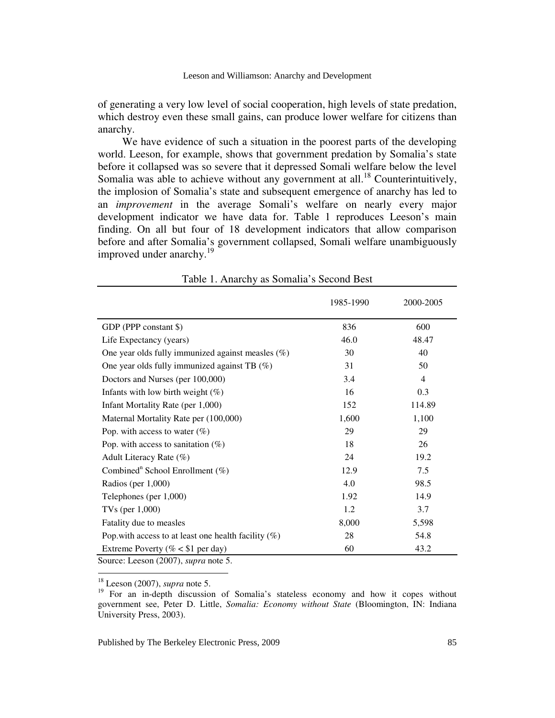of generating a very low level of social cooperation, high levels of state predation, which destroy even these small gains, can produce lower welfare for citizens than anarchy.

We have evidence of such a situation in the poorest parts of the developing world. Leeson, for example, shows that government predation by Somalia's state before it collapsed was so severe that it depressed Somali welfare below the level Somalia was able to achieve without any government at all.<sup>18</sup> Counterintuitively, the implosion of Somalia's state and subsequent emergence of anarchy has led to an *improvement* in the average Somali's welfare on nearly every major development indicator we have data for. Table 1 reproduces Leeson's main finding. On all but four of 18 development indicators that allow comparison before and after Somalia's government collapsed, Somali welfare unambiguously improved under anarchy. $19$ 

|                                                        | 1985-1990 | 2000-2005 |
|--------------------------------------------------------|-----------|-----------|
| GDP (PPP constant \$)                                  | 836       | 600       |
| Life Expectancy (years)                                | 46.0      | 48.47     |
| One year olds fully immunized against measles $(\%)$   | 30        | 40        |
| One year olds fully immunized against TB $(\%)$        | 31        | 50        |
| Doctors and Nurses (per 100,000)                       | 3.4       | 4         |
| Infants with low birth weight $(\%)$                   | 16        | 0.3       |
| Infant Mortality Rate (per 1,000)                      | 152       | 114.89    |
| Maternal Mortality Rate per (100,000)                  | 1,600     | 1,100     |
| Pop. with access to water $(\%)$                       | 29        | 29        |
| Pop. with access to sanitation $(\%)$                  | 18        | 26        |
| Adult Literacy Rate (%)                                | 24        | 19.2      |
| Combined <sup>n</sup> School Enrollment (%)            | 12.9      | 7.5       |
| Radios (per $1,000$ )                                  | 4.0       | 98.5      |
| Telephones (per 1,000)                                 | 1.92      | 14.9      |
| TVs (per 1,000)                                        | 1.2       | 3.7       |
| Fatality due to measles                                | 8,000     | 5,598     |
| Pop.with access to at least one health facility $(\%)$ | 28        | 54.8      |
| Extreme Poverty (% $<$ \$1 per day)                    | 60        | 43.2      |
| Source: Leeson (2007), <i>supra</i> note 5.            |           |           |

Table 1. Anarchy as Somalia's Second Best

<sup>18</sup> Leeson (2007), *supra* note 5.

<u>.</u>

<sup>&</sup>lt;sup>19</sup> For an in-depth discussion of Somalia's stateless economy and how it copes without government see, Peter D. Little, *Somalia: Economy without State* (Bloomington, IN: Indiana University Press, 2003).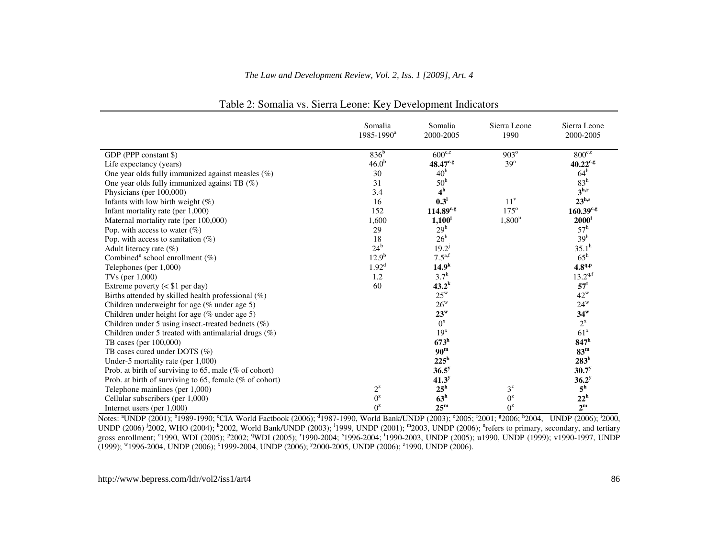|                                                            | Somalia<br>$1985 - 1990^a$ | Somalia<br>2000-2005 | Sierra Leone<br>1990 | Sierra Leone<br>2000-2005 |
|------------------------------------------------------------|----------------------------|----------------------|----------------------|---------------------------|
|                                                            |                            |                      |                      |                           |
| GDP (PPP constant \$)                                      | 836 <sup>b</sup>           | $600^{\text{c,e}}$   | $903^\circ$          | $800^{\text{c,e}}$        |
| Life expectancy (years)                                    | 46.0 <sup>b</sup>          | $48.47^{c,g}$        | $39^\circ$           | $40.22^{c,g}$             |
| One year olds fully immunized against measles $(\%)$       | 30                         | 40 <sup>h</sup>      |                      | $64^h$                    |
| One year olds fully immunized against TB $(\%)$            | 31                         | 50 <sup>h</sup>      |                      | $83^h$                    |
| Physicians (per 100,000)                                   | 3.4                        | 4 <sup>h</sup>       |                      | 3 <sup>h,r</sup>          |
| Infants with low birth weight $(\%)$                       | 16                         | 0.3 <sup>1</sup>     | $11^v$               | $23^{h,s}$                |
| Infant mortality rate (per 1,000)                          | 152                        | $114.89^{c,g}$       | $175^\circ$          | $160.39^{c,g}$            |
| Maternal mortality rate (per 100,000)                      | 1,600                      | $1,100^i$            | $1,800^{\rm u}$      | $2000^{\mathrm{i}}$       |
| Pop. with access to water $(\%)$                           | 29                         | 29 <sup>h</sup>      |                      | $57^h$                    |
| Pop. with access to sanitation $(\%)$                      | 18                         | $26^h$               |                      | 39 <sup>h</sup>           |
| Adult literacy rate $(\%)$                                 | $24^{\rm b}$               | $19.2^{j}$           |                      | $35.1^{\rm h}$            |
| Combined <sup>n</sup> school enrollment $(\%)$             | $12.9^{\rm b}$             | $7.5^{a,f}$          |                      | $65^{\rm h}$              |
| Telephones (per 1,000)                                     | $1.92^d$                   | $14.9^{k}$           |                      | $4.8^{q,p}$               |
| TVs (per $1,000$ )                                         | 1.2                        | $3.7^k$              |                      | $13.2^{q,f}$              |
| Extreme poverty $(1 per day)$                              | 60                         | $43.2^k$             |                      | 57 <sup>t</sup>           |
| Births attended by skilled health professional $(\%)$      |                            | $25^{\rm w}$         |                      | $42^{\rm w}$              |
| Children underweight for age $(\%$ under age 5)            |                            | $26^w$               |                      | $24^w$                    |
| Children under height for age $(\%$ under age 5)           |                            | $23^w$               |                      | $34^w$                    |
| Children under 5 using insect.-treated bednets $(\%)$      |                            | $0^x$                |                      | $2^{x}$                   |
| Children under 5 treated with antimalarial drugs $(\%)$    |                            | 19 <sup>x</sup>      |                      | 61 <sup>x</sup>           |
| TB cases (per 100,000)                                     |                            | $673^h$              |                      | 847 <sup>h</sup>          |
| TB cases cured under DOTS $(\%)$                           |                            | 90 <sup>m</sup>      |                      | 83 <sup>m</sup>           |
| Under-5 mortality rate (per $1,000$ )                      |                            | $225^{\rm h}$        |                      | $283^h$                   |
| Prob. at birth of surviving to 65, male $(\%$ of cohort)   |                            | $36.5^{y}$           |                      | $30.7^{y}$                |
| Prob. at birth of surviving to 65, female ( $%$ of cohort) |                            | $41.3^{y}$           |                      | $36.2^{y}$                |
| Telephone mainlines (per 1,000)                            | $2^z$                      | $25^{\rm h}$         | $3^z$                | $5^{\rm h}$               |
| Cellular subscribers (per 1,000)                           | $0^{\rm z}$                | $63^h$               | $0^z$                | $22^h$                    |
| Internet users (per $1,000$ )                              | $0^z$                      | 25 <sup>m</sup>      | $0^z$                | 2 <sup>m</sup>            |

Table 2: Somalia vs. Sierra Leone: Key Development Indicators

Notes: <sup>a</sup>UNDP (2001); <sup>b</sup>1989-1990; <sup>c</sup>CIA World Factbook (2006); <sup>d</sup>1987-1990, World Bank/UNDP (2003); <sup>e</sup>2005; <sup>f</sup>2001; <sup>g</sup>2006; <sup>h</sup>2004, UNDP (2006); <sup>i</sup>2000, UNDP (2006) <sup>j</sup>2002, WHO (2004); <sup>k</sup>2002, World Bank/UNDP (2003); <sup>1</sup>1999, UNDP (2001); <sup>m</sup>2003, UNDP (2006); <sup>n</sup>refers to primary, secondary, and tertiary<br>gross enrollment; °1990, WDI (2005); <sup>p</sup>2002; <sup>q</sup>WDI (2005); <sup>r</sup>19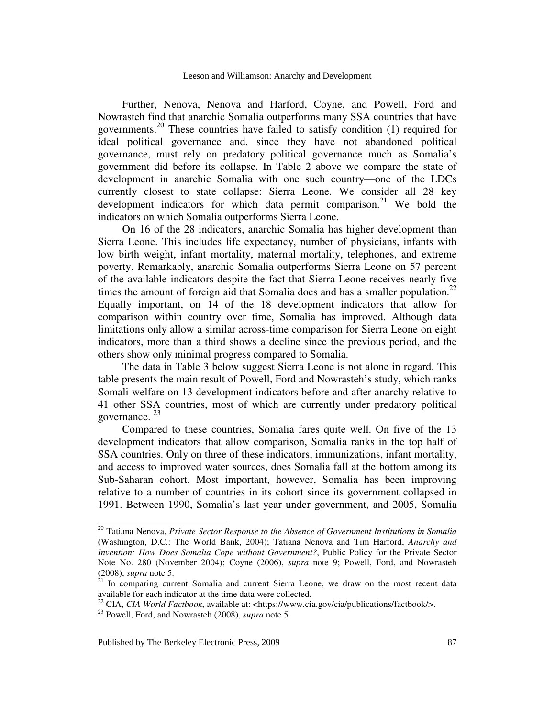Further, Nenova, Nenova and Harford, Coyne, and Powell, Ford and Nowrasteh find that anarchic Somalia outperforms many SSA countries that have governments.<sup>20</sup> These countries have failed to satisfy condition (1) required for ideal political governance and, since they have not abandoned political governance, must rely on predatory political governance much as Somalia's government did before its collapse. In Table 2 above we compare the state of development in anarchic Somalia with one such country—one of the LDCs currently closest to state collapse: Sierra Leone. We consider all 28 key development indicators for which data permit comparison.<sup>21</sup> We bold the indicators on which Somalia outperforms Sierra Leone.

On 16 of the 28 indicators, anarchic Somalia has higher development than Sierra Leone. This includes life expectancy, number of physicians, infants with low birth weight, infant mortality, maternal mortality, telephones, and extreme poverty. Remarkably, anarchic Somalia outperforms Sierra Leone on 57 percent of the available indicators despite the fact that Sierra Leone receives nearly five times the amount of foreign aid that Somalia does and has a smaller population.<sup>22</sup> Equally important, on 14 of the 18 development indicators that allow for comparison within country over time, Somalia has improved. Although data limitations only allow a similar across-time comparison for Sierra Leone on eight indicators, more than a third shows a decline since the previous period, and the others show only minimal progress compared to Somalia.

The data in Table 3 below suggest Sierra Leone is not alone in regard. This table presents the main result of Powell, Ford and Nowrasteh's study, which ranks Somali welfare on 13 development indicators before and after anarchy relative to 41 other SSA countries, most of which are currently under predatory political governance. <sup>23</sup>

Compared to these countries, Somalia fares quite well. On five of the 13 development indicators that allow comparison, Somalia ranks in the top half of SSA countries. Only on three of these indicators, immunizations, infant mortality, and access to improved water sources, does Somalia fall at the bottom among its Sub-Saharan cohort. Most important, however, Somalia has been improving relative to a number of countries in its cohort since its government collapsed in 1991. Between 1990, Somalia's last year under government, and 2005, Somalia

<sup>20</sup> Tatiana Nenova, *Private Sector Response to the Absence of Government Institutions in Somalia* (Washington, D.C.: The World Bank, 2004); Tatiana Nenova and Tim Harford, *Anarchy and Invention: How Does Somalia Cope without Government?*, Public Policy for the Private Sector Note No. 280 (November 2004); Coyne (2006), *supra* note 9; Powell, Ford, and Nowrasteh (2008), *supra* note 5.

 $21$  In comparing current Somalia and current Sierra Leone, we draw on the most recent data available for each indicator at the time data were collected.

<sup>22</sup> CIA, *CIA World Factbook*, available at: <https://www.cia.gov/cia/publications/factbook/>.

<sup>23</sup> Powell, Ford, and Nowrasteh (2008), *supra* note 5.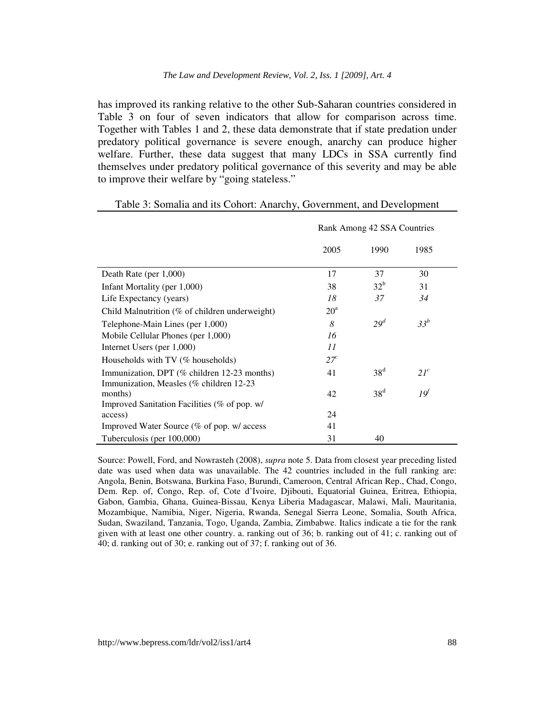has improved its ranking relative to the other Sub-Saharan countries considered in Table 3 on four of seven indicators that allow for comparison across time. Together with Tables 1 and 2, these data demonstrate that if state predation under predatory political governance is severe enough, anarchy can produce higher welfare. Further, these data suggest that many LDCs in SSA currently find themselves under predatory political governance of this severity and may be able to improve their welfare by "going stateless."

|                                                                                        | Rank Among 42 SSA Countries |                 |                 |  |
|----------------------------------------------------------------------------------------|-----------------------------|-----------------|-----------------|--|
|                                                                                        | 2005                        | 1990            | 1985            |  |
| Death Rate (per 1,000)                                                                 | 17                          | 37              | 30              |  |
| Infant Mortality (per 1,000)                                                           | 38                          | $32^b$          | 31              |  |
| Life Expectancy (years)                                                                | 18                          | 37              | 34              |  |
| Child Malnutrition (% of children underweight)                                         | $20^{\circ}$                |                 |                 |  |
| Telephone-Main Lines (per 1,000)                                                       | 8                           | 29 <sup>d</sup> | $33^b$          |  |
| Mobile Cellular Phones (per 1,000)                                                     | 16                          |                 |                 |  |
| Internet Users (per 1,000)                                                             | 11                          |                 |                 |  |
| Households with TV (% households)                                                      | $27^c$                      |                 |                 |  |
| Immunization, DPT (% children 12-23 months)<br>Immunization, Measles (% children 12-23 | 41                          | 38 <sup>d</sup> | $21^c$          |  |
| months)                                                                                | 42                          | $38^d$          | 19 <sup>t</sup> |  |
| Improved Sanitation Facilities (% of pop. w/                                           |                             |                 |                 |  |
| access)                                                                                | 24                          |                 |                 |  |
| Improved Water Source (% of pop. w/ access                                             | 41                          |                 |                 |  |
| Tuberculosis (per 100,000)                                                             | 31                          | 40              |                 |  |

### Table 3: Somalia and its Cohort: Anarchy, Government, and Development

Source: Powell, Ford, and Nowrasteh (2008), *supra* note 5. Data from closest year preceding listed date was used when data was unavailable. The 42 countries included in the full ranking are: Angola, Benin, Botswana, Burkina Faso, Burundi, Cameroon, Central African Rep., Chad, Congo, Dem. Rep. of, Congo, Rep. of, Cote d'Ivoire, Djibouti, Equatorial Guinea, Eritrea, Ethiopia, Gabon, Gambia, Ghana, Guinea-Bissau, Kenya Liberia Madagascar, Malawi, Mali, Mauritania, Mozambique, Namibia, Niger, Nigeria, Rwanda, Senegal Sierra Leone, Somalia, South Africa, Sudan, Swaziland, Tanzania, Togo, Uganda, Zambia, Zimbabwe. Italics indicate a tie for the rank given with at least one other country. a. ranking out of 36; b. ranking out of 41; c. ranking out of 40; d. ranking out of 30; e. ranking out of 37; f. ranking out of 36.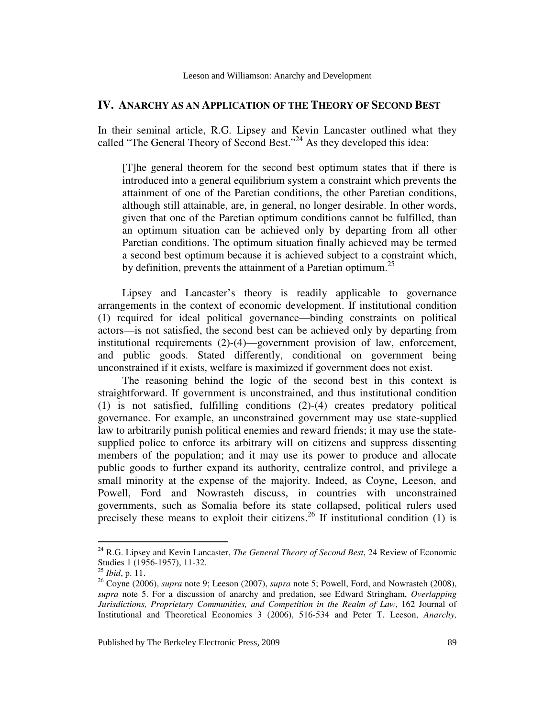# **IV. ANARCHY AS AN APPLICATION OF THE THEORY OF SECOND BEST**

In their seminal article, R.G. Lipsey and Kevin Lancaster outlined what they called "The General Theory of Second Best."<sup>24</sup> As they developed this idea:

[T]he general theorem for the second best optimum states that if there is introduced into a general equilibrium system a constraint which prevents the attainment of one of the Paretian conditions, the other Paretian conditions, although still attainable, are, in general, no longer desirable. In other words, given that one of the Paretian optimum conditions cannot be fulfilled, than an optimum situation can be achieved only by departing from all other Paretian conditions. The optimum situation finally achieved may be termed a second best optimum because it is achieved subject to a constraint which, by definition, prevents the attainment of a Paretian optimum.<sup>25</sup>

Lipsey and Lancaster's theory is readily applicable to governance arrangements in the context of economic development. If institutional condition (1) required for ideal political governance—binding constraints on political actors—is not satisfied, the second best can be achieved only by departing from institutional requirements (2)-(4)—government provision of law, enforcement, and public goods. Stated differently, conditional on government being unconstrained if it exists, welfare is maximized if government does not exist.

The reasoning behind the logic of the second best in this context is straightforward. If government is unconstrained, and thus institutional condition (1) is not satisfied, fulfilling conditions (2)-(4) creates predatory political governance. For example, an unconstrained government may use state-supplied law to arbitrarily punish political enemies and reward friends; it may use the statesupplied police to enforce its arbitrary will on citizens and suppress dissenting members of the population; and it may use its power to produce and allocate public goods to further expand its authority, centralize control, and privilege a small minority at the expense of the majority. Indeed, as Coyne, Leeson, and Powell, Ford and Nowrasteh discuss, in countries with unconstrained governments, such as Somalia before its state collapsed, political rulers used precisely these means to exploit their citizens.<sup>26</sup> If institutional condition  $(1)$  is

<sup>24</sup> R.G. Lipsey and Kevin Lancaster, *The General Theory of Second Best*, 24 Review of Economic Studies 1 (1956-1957), 11-32.

<sup>25</sup> *Ibid*, p. 11.

<sup>26</sup> Coyne (2006), *supra* note 9; Leeson (2007), *supra* note 5; Powell, Ford, and Nowrasteh (2008), *supra* note 5. For a discussion of anarchy and predation, see Edward Stringham, *Overlapping Jurisdictions, Proprietary Communities, and Competition in the Realm of Law*, 162 Journal of Institutional and Theoretical Economics 3 (2006), 516-534 and Peter T. Leeson, *Anarchy,*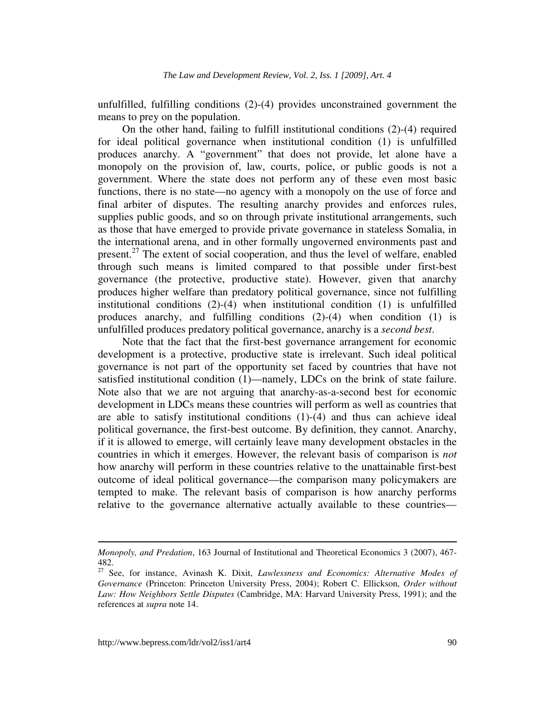unfulfilled, fulfilling conditions (2)-(4) provides unconstrained government the means to prey on the population.

On the other hand, failing to fulfill institutional conditions (2)-(4) required for ideal political governance when institutional condition (1) is unfulfilled produces anarchy. A "government" that does not provide, let alone have a monopoly on the provision of, law, courts, police, or public goods is not a government. Where the state does not perform any of these even most basic functions, there is no state—no agency with a monopoly on the use of force and final arbiter of disputes. The resulting anarchy provides and enforces rules, supplies public goods, and so on through private institutional arrangements, such as those that have emerged to provide private governance in stateless Somalia, in the international arena, and in other formally ungoverned environments past and present.<sup>27</sup> The extent of social cooperation, and thus the level of welfare, enabled through such means is limited compared to that possible under first-best governance (the protective, productive state). However, given that anarchy produces higher welfare than predatory political governance, since not fulfilling institutional conditions  $(2)-(4)$  when institutional condition  $(1)$  is unfulfilled produces anarchy, and fulfilling conditions (2)-(4) when condition (1) is unfulfilled produces predatory political governance, anarchy is a *second best*.

Note that the fact that the first-best governance arrangement for economic development is a protective, productive state is irrelevant. Such ideal political governance is not part of the opportunity set faced by countries that have not satisfied institutional condition (1)—namely, LDCs on the brink of state failure. Note also that we are not arguing that anarchy-as-a-second best for economic development in LDCs means these countries will perform as well as countries that are able to satisfy institutional conditions (1)-(4) and thus can achieve ideal political governance, the first-best outcome. By definition, they cannot. Anarchy, if it is allowed to emerge, will certainly leave many development obstacles in the countries in which it emerges. However, the relevant basis of comparison is *not* how anarchy will perform in these countries relative to the unattainable first-best outcome of ideal political governance—the comparison many policymakers are tempted to make. The relevant basis of comparison is how anarchy performs relative to the governance alternative actually available to these countries—

*Monopoly, and Predation*, 163 Journal of Institutional and Theoretical Economics 3 (2007), 467- 482.

<sup>27</sup> See, for instance, Avinash K. Dixit, *Lawlessness and Economics: Alternative Modes of Governance* (Princeton: Princeton University Press, 2004); Robert C. Ellickson, *Order without Law: How Neighbors Settle Disputes* (Cambridge, MA: Harvard University Press, 1991); and the references at *supra* note 14.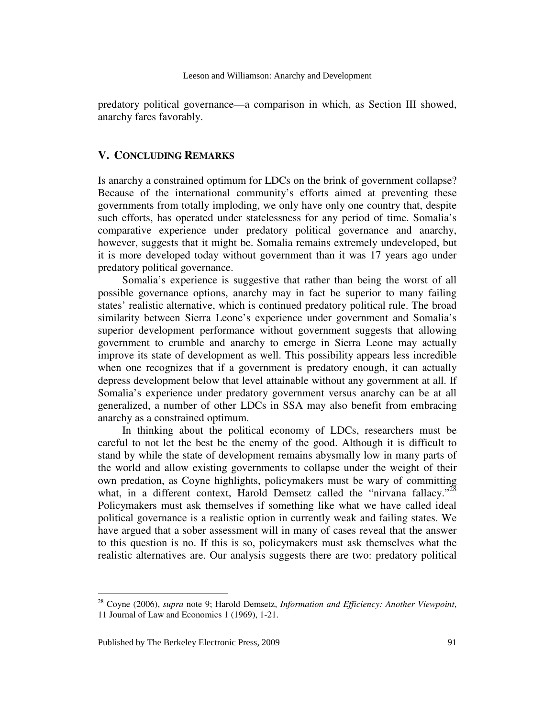predatory political governance—a comparison in which, as Section III showed, anarchy fares favorably.

## **V. CONCLUDING REMARKS**

Is anarchy a constrained optimum for LDCs on the brink of government collapse? Because of the international community's efforts aimed at preventing these governments from totally imploding, we only have only one country that, despite such efforts, has operated under statelessness for any period of time. Somalia's comparative experience under predatory political governance and anarchy, however, suggests that it might be. Somalia remains extremely undeveloped, but it is more developed today without government than it was 17 years ago under predatory political governance.

Somalia's experience is suggestive that rather than being the worst of all possible governance options, anarchy may in fact be superior to many failing states' realistic alternative, which is continued predatory political rule. The broad similarity between Sierra Leone's experience under government and Somalia's superior development performance without government suggests that allowing government to crumble and anarchy to emerge in Sierra Leone may actually improve its state of development as well. This possibility appears less incredible when one recognizes that if a government is predatory enough, it can actually depress development below that level attainable without any government at all. If Somalia's experience under predatory government versus anarchy can be at all generalized, a number of other LDCs in SSA may also benefit from embracing anarchy as a constrained optimum.

In thinking about the political economy of LDCs, researchers must be careful to not let the best be the enemy of the good. Although it is difficult to stand by while the state of development remains abysmally low in many parts of the world and allow existing governments to collapse under the weight of their own predation, as Coyne highlights, policymakers must be wary of committing what, in a different context, Harold Demsetz called the "nirvana fallacy."<sup>28</sup> Policymakers must ask themselves if something like what we have called ideal political governance is a realistic option in currently weak and failing states. We have argued that a sober assessment will in many of cases reveal that the answer to this question is no. If this is so, policymakers must ask themselves what the realistic alternatives are. Our analysis suggests there are two: predatory political

<sup>28</sup> Coyne (2006), *supra* note 9; Harold Demsetz, *Information and Efficiency: Another Viewpoint*, 11 Journal of Law and Economics 1 (1969), 1-21.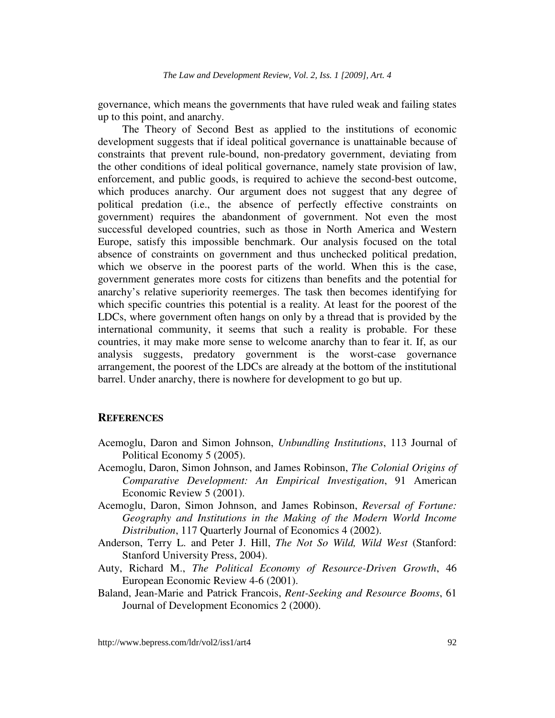governance, which means the governments that have ruled weak and failing states up to this point, and anarchy.

The Theory of Second Best as applied to the institutions of economic development suggests that if ideal political governance is unattainable because of constraints that prevent rule-bound, non-predatory government, deviating from the other conditions of ideal political governance, namely state provision of law, enforcement, and public goods, is required to achieve the second-best outcome, which produces anarchy. Our argument does not suggest that any degree of political predation (i.e., the absence of perfectly effective constraints on government) requires the abandonment of government. Not even the most successful developed countries, such as those in North America and Western Europe, satisfy this impossible benchmark. Our analysis focused on the total absence of constraints on government and thus unchecked political predation, which we observe in the poorest parts of the world. When this is the case, government generates more costs for citizens than benefits and the potential for anarchy's relative superiority reemerges. The task then becomes identifying for which specific countries this potential is a reality. At least for the poorest of the LDCs, where government often hangs on only by a thread that is provided by the international community, it seems that such a reality is probable. For these countries, it may make more sense to welcome anarchy than to fear it. If, as our analysis suggests, predatory government is the worst-case governance arrangement, the poorest of the LDCs are already at the bottom of the institutional barrel. Under anarchy, there is nowhere for development to go but up.

## **REFERENCES**

- Acemoglu, Daron and Simon Johnson, *Unbundling Institutions*, 113 Journal of Political Economy 5 (2005).
- Acemoglu, Daron, Simon Johnson, and James Robinson, *The Colonial Origins of Comparative Development: An Empirical Investigation*, 91 American Economic Review 5 (2001).
- Acemoglu, Daron, Simon Johnson, and James Robinson, *Reversal of Fortune: Geography and Institutions in the Making of the Modern World Income Distribution*, 117 Quarterly Journal of Economics 4 (2002).
- Anderson, Terry L. and Peter J. Hill, *The Not So Wild, Wild West* (Stanford: Stanford University Press, 2004).
- Auty, Richard M., *The Political Economy of Resource-Driven Growth*, 46 European Economic Review 4-6 (2001).
- Baland, Jean-Marie and Patrick Francois, *Rent-Seeking and Resource Booms*, 61 Journal of Development Economics 2 (2000).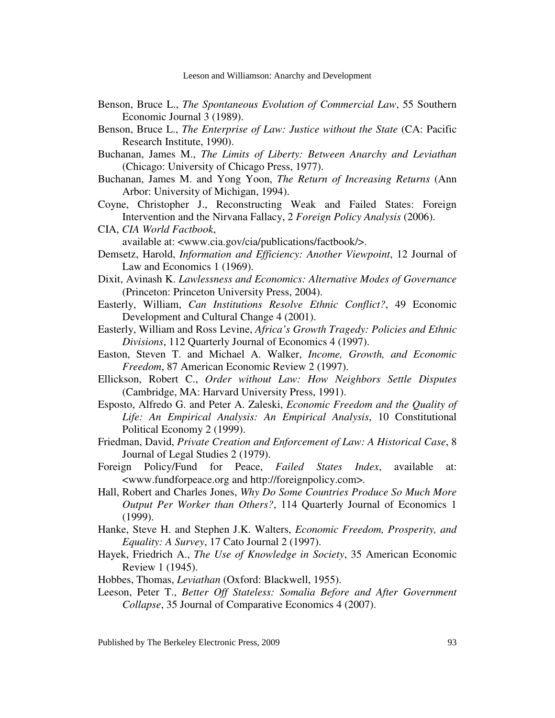- Benson, Bruce L., *The Spontaneous Evolution of Commercial Law*, 55 Southern Economic Journal 3 (1989).
- Benson, Bruce L., *The Enterprise of Law: Justice without the State* (CA: Pacific Research Institute, 1990).
- Buchanan, James M., *The Limits of Liberty: Between Anarchy and Leviathan* (Chicago: University of Chicago Press, 1977).
- Buchanan, James M. and Yong Yoon, *The Return of Increasing Returns* (Ann Arbor: University of Michigan, 1994).
- Coyne, Christopher J., Reconstructing Weak and Failed States: Foreign Intervention and the Nirvana Fallacy, 2 *Foreign Policy Analysis* (2006).
- CIA, *CIA World Factbook*,

available at: <www.cia.gov/cia/publications/factbook/>.

- Demsetz, Harold, *Information and Efficiency: Another Viewpoint*, 12 Journal of Law and Economics 1 (1969).
- Dixit, Avinash K. *Lawlessness and Economics: Alternative Modes of Governance* (Princeton: Princeton University Press, 2004).
- Easterly, William, *Can Institutions Resolve Ethnic Conflict?*, 49 Economic Development and Cultural Change 4 (2001).
- Easterly, William and Ross Levine, *Africa's Growth Tragedy: Policies and Ethnic Divisions*, 112 Quarterly Journal of Economics 4 (1997).
- Easton, Steven T. and Michael A. Walker, *Income, Growth, and Economic Freedom*, 87 American Economic Review 2 (1997).
- Ellickson, Robert C., *Order without Law: How Neighbors Settle Disputes* (Cambridge, MA: Harvard University Press, 1991).
- Esposto, Alfredo G. and Peter A. Zaleski, *Economic Freedom and the Quality of Life: An Empirical Analysis: An Empirical Analysis*, 10 Constitutional Political Economy 2 (1999).
- Friedman, David, *Private Creation and Enforcement of Law: A Historical Case*, 8 Journal of Legal Studies 2 (1979).
- Foreign Policy/Fund for Peace, *Failed States Index*, available at: <www.fundforpeace.org and http://foreignpolicy.com>.
- Hall, Robert and Charles Jones, *Why Do Some Countries Produce So Much More Output Per Worker than Others?*, 114 Quarterly Journal of Economics 1 (1999).
- Hanke, Steve H. and Stephen J.K. Walters, *Economic Freedom, Prosperity, and Equality: A Survey*, 17 Cato Journal 2 (1997).
- Hayek, Friedrich A., *The Use of Knowledge in Society*, 35 American Economic Review 1 (1945).
- Hobbes, Thomas, *Leviathan* (Oxford: Blackwell, 1955).
- Leeson, Peter T., *Better Off Stateless: Somalia Before and After Government Collapse*, 35 Journal of Comparative Economics 4 (2007).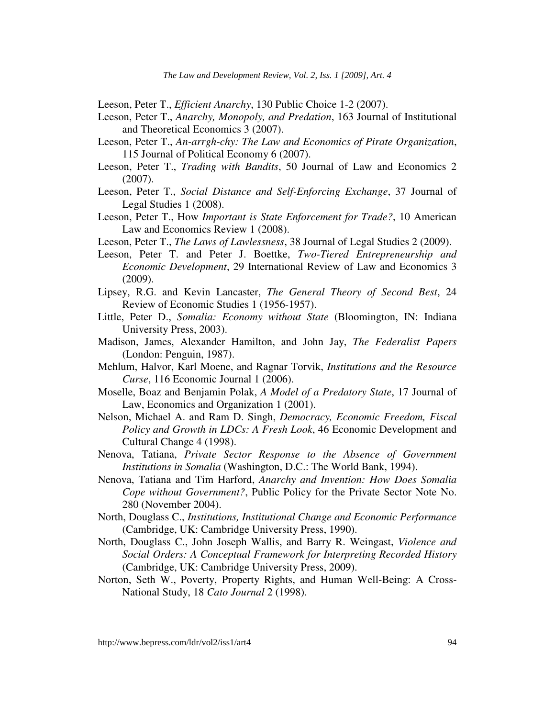- Leeson, Peter T., *Efficient Anarchy*, 130 Public Choice 1-2 (2007).
- Leeson, Peter T., *Anarchy, Monopoly, and Predation*, 163 Journal of Institutional and Theoretical Economics 3 (2007).
- Leeson, Peter T., *An-arrgh-chy: The Law and Economics of Pirate Organization*, 115 Journal of Political Economy 6 (2007).
- Leeson, Peter T., *Trading with Bandits*, 50 Journal of Law and Economics 2 (2007).
- Leeson, Peter T., *Social Distance and Self-Enforcing Exchange*, 37 Journal of Legal Studies 1 (2008).
- Leeson, Peter T., How *Important is State Enforcement for Trade?*, 10 American Law and Economics Review 1 (2008).
- Leeson, Peter T., *The Laws of Lawlessness*, 38 Journal of Legal Studies 2 (2009).
- Leeson, Peter T. and Peter J. Boettke, *Two-Tiered Entrepreneurship and Economic Development*, 29 International Review of Law and Economics 3 (2009).
- Lipsey, R.G. and Kevin Lancaster, *The General Theory of Second Best*, 24 Review of Economic Studies 1 (1956-1957).
- Little, Peter D., *Somalia: Economy without State* (Bloomington, IN: Indiana University Press, 2003).
- Madison, James, Alexander Hamilton, and John Jay, *The Federalist Papers* (London: Penguin, 1987).
- Mehlum, Halvor, Karl Moene, and Ragnar Torvik, *Institutions and the Resource Curse*, 116 Economic Journal 1 (2006).
- Moselle, Boaz and Benjamin Polak, *A Model of a Predatory State*, 17 Journal of Law, Economics and Organization 1 (2001).
- Nelson, Michael A. and Ram D. Singh, *Democracy, Economic Freedom, Fiscal Policy and Growth in LDCs: A Fresh Look*, 46 Economic Development and Cultural Change 4 (1998).
- Nenova, Tatiana, *Private Sector Response to the Absence of Government Institutions in Somalia* (Washington, D.C.: The World Bank, 1994).
- Nenova, Tatiana and Tim Harford, *Anarchy and Invention: How Does Somalia Cope without Government?*, Public Policy for the Private Sector Note No. 280 (November 2004).
- North, Douglass C., *Institutions, Institutional Change and Economic Performance* (Cambridge, UK: Cambridge University Press, 1990).
- North, Douglass C., John Joseph Wallis, and Barry R. Weingast, *Violence and Social Orders: A Conceptual Framework for Interpreting Recorded History* (Cambridge, UK: Cambridge University Press, 2009).
- Norton, Seth W., Poverty, Property Rights, and Human Well-Being: A Cross-National Study, 18 *Cato Journal* 2 (1998).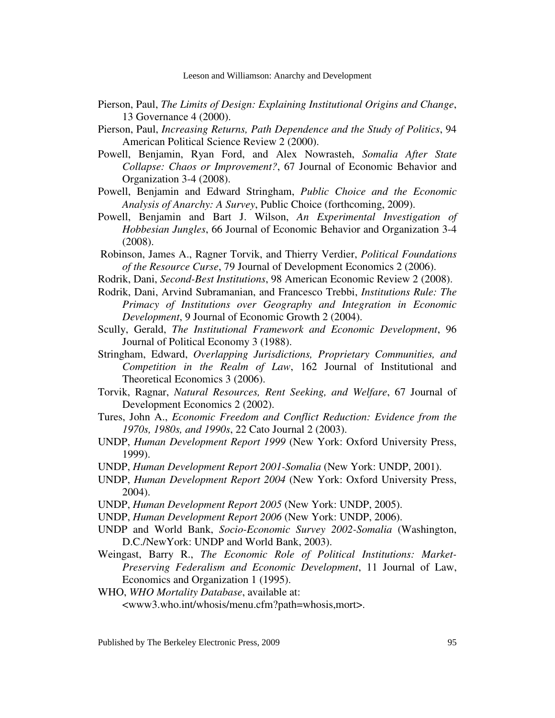Leeson and Williamson: Anarchy and Development

- Pierson, Paul, *The Limits of Design: Explaining Institutional Origins and Change*, 13 Governance 4 (2000).
- Pierson, Paul, *Increasing Returns, Path Dependence and the Study of Politics*, 94 American Political Science Review 2 (2000).
- Powell, Benjamin, Ryan Ford, and Alex Nowrasteh, *Somalia After State Collapse: Chaos or Improvement?*, 67 Journal of Economic Behavior and Organization 3-4 (2008).
- Powell, Benjamin and Edward Stringham, *Public Choice and the Economic Analysis of Anarchy: A Survey*, Public Choice (forthcoming, 2009).
- Powell, Benjamin and Bart J. Wilson, *An Experimental Investigation of Hobbesian Jungles*, 66 Journal of Economic Behavior and Organization 3-4 (2008).
- Robinson, James A., Ragner Torvik, and Thierry Verdier, *Political Foundations of the Resource Curse*, 79 Journal of Development Economics 2 (2006).
- Rodrik, Dani, *Second-Best Institutions*, 98 American Economic Review 2 (2008).
- Rodrik, Dani, Arvind Subramanian, and Francesco Trebbi, *Institutions Rule: The Primacy of Institutions over Geography and Integration in Economic Development*, 9 Journal of Economic Growth 2 (2004).
- Scully, Gerald, *The Institutional Framework and Economic Development*, 96 Journal of Political Economy 3 (1988).
- Stringham, Edward, *Overlapping Jurisdictions, Proprietary Communities, and Competition in the Realm of Law*, 162 Journal of Institutional and Theoretical Economics 3 (2006).
- Torvik, Ragnar, *Natural Resources, Rent Seeking, and Welfare*, 67 Journal of Development Economics 2 (2002).
- Tures, John A., *Economic Freedom and Conflict Reduction: Evidence from the 1970s, 1980s, and 1990s*, 22 Cato Journal 2 (2003).
- UNDP, *Human Development Report 1999* (New York: Oxford University Press, 1999).
- UNDP, *Human Development Report 2001-Somalia* (New York: UNDP, 2001).
- UNDP, *Human Development Report 2004* (New York: Oxford University Press, 2004).
- UNDP, *Human Development Report 2005* (New York: UNDP, 2005).
- UNDP, *Human Development Report 2006* (New York: UNDP, 2006).
- UNDP and World Bank, *Socio-Economic Survey 2002-Somalia* (Washington, D.C./NewYork: UNDP and World Bank, 2003).
- Weingast, Barry R., *The Economic Role of Political Institutions: Market-Preserving Federalism and Economic Development*, 11 Journal of Law, Economics and Organization 1 (1995).
- WHO, *WHO Mortality Database*, available at:

<www3.who.int/whosis/menu.cfm?path=whosis,mort>.